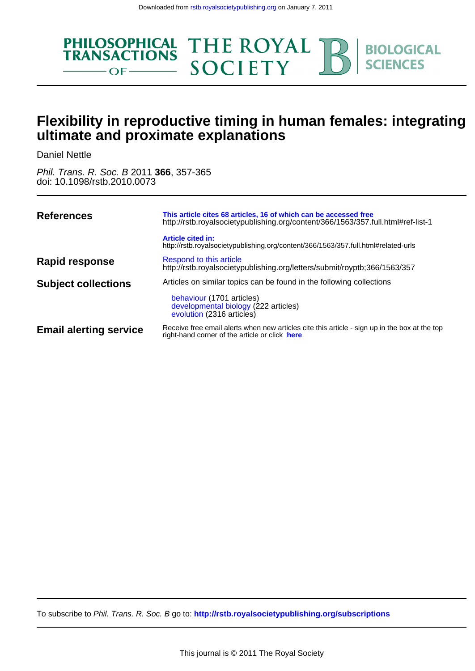

# **ultimate and proximate explanations Flexibility in reproductive timing in human females: integrating**

Daniel Nettle

doi: 10.1098/rstb.2010.0073 Phil. Trans. R. Soc. B 2011 **366**, 357-365

| <b>References</b>             | This article cites 68 articles, 16 of which can be accessed free<br>http://rstb.royalsocietypublishing.org/content/366/1563/357.full.html#ref-list-1                   |  |  |
|-------------------------------|------------------------------------------------------------------------------------------------------------------------------------------------------------------------|--|--|
|                               | <b>Article cited in:</b><br>http://rstb.royalsocietypublishing.org/content/366/1563/357.full.html#related-urls                                                         |  |  |
| <b>Rapid response</b>         | Respond to this article<br>http://rstb.royalsocietypublishing.org/letters/submit/royptb;366/1563/357                                                                   |  |  |
| <b>Subject collections</b>    | Articles on similar topics can be found in the following collections<br>behaviour (1701 articles)<br>developmental biology (222 articles)<br>evolution (2316 articles) |  |  |
| <b>Email alerting service</b> | Receive free email alerts when new articles cite this article - sign up in the box at the top<br>right-hand corner of the article or click here                        |  |  |

To subscribe to Phil. Trans. R. Soc. B go to: **<http://rstb.royalsocietypublishing.org/subscriptions>**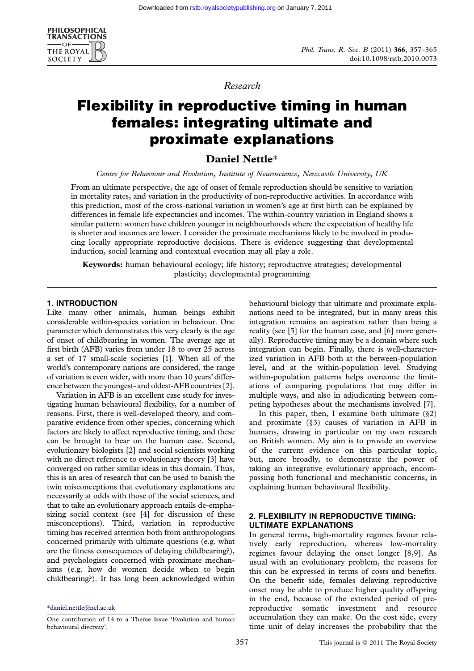

Research

# Flexibility in reproductive timing in human females: integrating ultimate and proximate explanations

Daniel Nettle\*

Centre for Behaviour and Evolution, Institute of Neuroscience, Newcastle University, UK

From an ultimate perspective, the age of onset of female reproduction should be sensitive to variation in mortality rates, and variation in the productivity of non-reproductive activities. In accordance with this prediction, most of the cross-national variation in women's age at first birth can be explained by differences in female life expectancies and incomes. The within-country variation in England shows a similar pattern: women have children younger in neighbourhoods where the expectation of healthy life is shorter and incomes are lower. I consider the proximate mechanisms likely to be involved in producing locally appropriate reproductive decisions. There is evidence suggesting that developmental induction, social learning and contextual evocation may all play a role.

Keywords: human behavioural ecology; life history; reproductive strategies; developmental plasticity; developmental programming

#### 1. INTRODUCTION

Like many other animals, human beings exhibit considerable within-species variation in behaviour. One parameter which demonstrates this very clearly is the age of onset of childbearing in women. The average age at first birth (AFB) varies from under 18 to over 25 across a set of 17 small-scale societies [\[1](#page-7-0)]. When all of the world's contemporary nations are considered, the range of variation is even wider, with more than 10 years'difference between theyoungest- and oldest-AFB countries [\[2\]](#page-7-0).

Variation in AFB is an excellent case study for investigating human behavioural flexibility, for a number of reasons. First, there is well-developed theory, and comparative evidence from other species, concerning which factors are likely to affect reproductive timing, and these can be brought to bear on the human case. Second, evolutionary biologists [[2](#page-7-0)] and social scientists working with no direct reference to evolutionary theory [[3](#page-7-0)] have converged on rather similar ideas in this domain. Thus, this is an area of research that can be used to banish the twin misconceptions that evolutionary explanations are necessarily at odds with those of the social sciences, and that to take an evolutionary approach entails de-emphasizing social context (see [\[4\]](#page-7-0) for discussion of these misconceptions). Third, variation in reproductive timing has received attention both from anthropologists concerned primarily with ultimate questions (e.g. what are the fitness consequences of delaying childbearing?), and psychologists concerned with proximate mechanisms (e.g. how do women decide when to begin childbearing?). It has long been acknowledged within

behavioural biology that ultimate and proximate explanations need to be integrated, but in many areas this integration remains an aspiration rather than being a reality (see [[5](#page-7-0)] for the human case, and [[6](#page-7-0)] more generally). Reproductive timing may be a domain where such integration can begin. Finally, there is well-characterized variation in AFB both at the between-population level, and at the within-population level. Studying within-population patterns helps overcome the limitations of comparing populations that may differ in multiple ways, and also in adjudicating between competing hypotheses about the mechanisms involved [\[7\]](#page-7-0).

In this paper, then, I examine both ultimate  $(\S 2)$ and proximate (§3) causes of variation in AFB in humans, drawing in particular on my own research on British women. My aim is to provide an overview of the current evidence on this particular topic, but, more broadly, to demonstrate the power of taking an integrative evolutionary approach, encompassing both functional and mechanistic concerns, in explaining human behavioural flexibility.

### 2. FLEXIBILITY IN REPRODUCTIVE TIMING: ULTIMATE EXPLANATIONS

In general terms, high-mortality regimes favour relatively early reproduction, whereas low-mortality regimes favour delaying the onset longer [[8](#page-7-0),[9](#page-7-0)]. As usual with an evolutionary problem, the reasons for this can be expressed in terms of costs and benefits. On the benefit side, females delaying reproductive onset may be able to produce higher quality offspring in the end, because of the extended period of prereproductive somatic investment and resource accumulation they can make. On the cost side, every time unit of delay increases the probability that the

<sup>\*</sup>[daniel.nettle@ncl.ac.uk](mailto:daniel.nettle@ncl.ac.uk)

One contribution of 14 to a Theme Issue 'Evolution and human behavioural diversity'.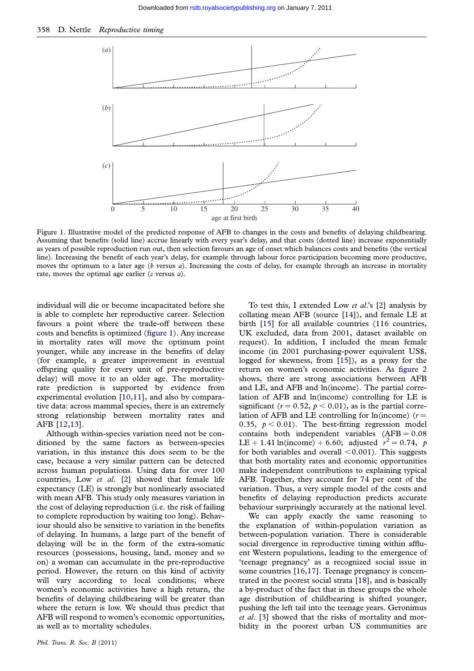<span id="page-2-0"></span>

Figure 1. Illustrative model of the predicted response of AFB to changes in the costs and benefits of delaying childbearing. Assuming that benefits (solid line) accrue linearly with every year's delay, and that costs (dotted line) increase exponentially as years of possible reproduction run out, then selection favours an age of onset which balances costs and benefits (the vertical line). Increasing the benefit of each year's delay, for example through labour force participation becoming more productive, moves the optimum to a later age ( $b$  versus  $a$ ). Increasing the costs of delay, for example through an increase in mortality rate, moves the optimal age earlier  $(c$  versus  $a$ ).

individual will die or become incapacitated before she is able to complete her reproductive career. Selection favours a point where the trade-off between these costs and benefits is optimized (figure 1). Any increase in mortality rates will move the optimum point younger, while any increase in the benefits of delay (for example, a greater improvement in eventual offspring quality for every unit of pre-reproductive delay) will move it to an older age. The mortalityrate prediction is supported by evidence from experimental evolution [\[10,11](#page-7-0)], and also by comparative data: across mammal species, there is an extremely strong relationship between mortality rates and AFB [[12](#page-7-0),[13](#page-7-0)].

Although within-species variation need not be conditioned by the same factors as between-species variation, in this instance this does seem to be the case, because a very similar pattern can be detected across human populations. Using data for over 100 countries, Low et al. [[2](#page-7-0)] showed that female life expectancy (LE) is strongly but nonlinearly associated with mean AFB. This study only measures variation in the cost of delaying reproduction (i.e. the risk of failing to complete reproduction by waiting too long). Behaviour should also be sensitive to variation in the benefits of delaying. In humans, a large part of the benefit of delaying will be in the form of the extra-somatic resources (possessions, housing, land, money and so on) a woman can accumulate in the pre-reproductive period. However, the return on this kind of activity will vary according to local conditions; where women's economic activities have a high return, the benefits of delaying childbearing will be greater than where the return is low. We should thus predict that AFB will respond to women's economic opportunities, as well as to mortality schedules.

To test this, I extended Low et al.'s [[2](#page-7-0)] analysis by collating mean AFB (source [[14\]](#page-7-0)), and female LE at birth [\[15](#page-7-0)] for all available countries (116 countries, UK excluded, data from 2001, dataset available on request). In addition, I included the mean female income (in 2001 purchasing-power equivalent US\$, logged for skewness, from [[15\]](#page-7-0)), as a proxy for the return on women's economic activities. As [figure 2](#page-3-0) shows, there are strong associations between AFB and LE, and AFB and ln(income). The partial correlation of AFB and ln(income) controlling for LE is significant ( $r = 0.52$ ,  $p < 0.01$ ), as is the partial correlation of AFB and LE controlling for ln(income) ( $r =$ 0.35,  $p < 0.01$ ). The best-fitting regression model contains both independent variables  $(AFB = 0.08$ LE + 1.41 ln(income) + 6.60; adjusted  $r^2 = 0.74$ , p for both variables and overall  $< 0.001$ ). This suggests that both mortality rates and economic opportunities make independent contributions to explaining typical AFB. Together, they account for 74 per cent of the variation. Thus, a very simple model of the costs and benefits of delaying reproduction predicts accurate behaviour surprisingly accurately at the national level.

We can apply exactly the same reasoning to the explanation of within-population variation as between-population variation. There is considerable social divergence in reproductive timing within affluent Western populations, leading to the emergence of 'teenage pregnancy' as a recognized social issue in some countries [\[16,17](#page-7-0)]. Teenage pregnancy is concentrated in the poorest social strata [[18\]](#page-7-0), and is basically a by-product of the fact that in these groups the whole age distribution of childbearing is shifted younger, pushing the left tail into the teenage years. Geronimus et al. [[3](#page-7-0)] showed that the risks of mortality and morbidity in the poorest urban US communities are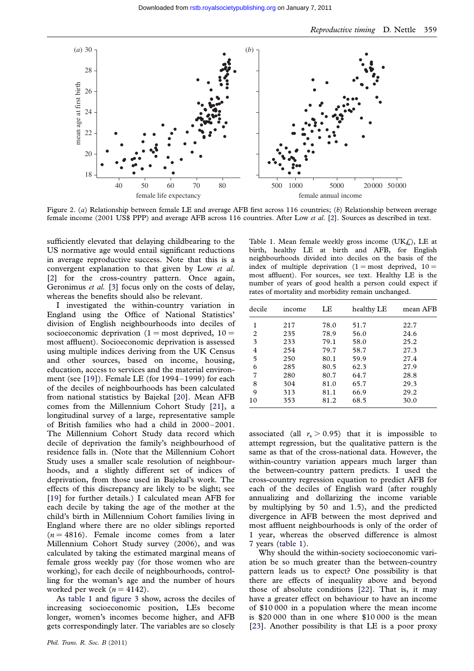<span id="page-3-0"></span>

Figure 2. (a) Relationship between female LE and average AFB first across 116 countries; (b) Relationship between average female income (2001 US\$ PPP) and average AFB across 116 countries. After Low et al. [\[2](#page-7-0)]. Sources as described in text.

sufficiently elevated that delaying childbearing to the US normative age would entail significant reductions in average reproductive success. Note that this is a convergent explanation to that given by Low et al. [[2](#page-7-0)] for the cross-country pattern. Once again, Geronimus et al. [[3](#page-7-0)] focus only on the costs of delay, whereas the benefits should also be relevant.

I investigated the within-country variation in England using the Office of National Statistics' division of English neighbourhoods into deciles of socioeconomic deprivation  $(1 = \text{most}$  deprived,  $10 =$ most affluent). Socioeconomic deprivation is assessed using multiple indices deriving from the UK Census and other sources, based on income, housing, education, access to services and the material environment (see [\[19](#page-7-0)]). Female LE (for 1994–1999) for each of the deciles of neighbourhoods has been calculated from national statistics by Bajekal [[20\]](#page-7-0). Mean AFB comes from the Millennium Cohort Study [[21\]](#page-7-0), a longitudinal survey of a large, representative sample of British families who had a child in 2000–2001. The Millennium Cohort Study data record which decile of deprivation the family's neighbourhood of residence falls in. (Note that the Millennium Cohort Study uses a smaller scale resolution of neighbourhoods, and a slightly different set of indices of deprivation, from those used in Bajekal's work. The effects of this discrepancy are likely to be slight; see [[19\]](#page-7-0) for further details.) I calculated mean AFB for each decile by taking the age of the mother at the child's birth in Millennium Cohort families living in England where there are no older siblings reported  $(n = 4816)$ . Female income comes from a later Millennium Cohort Study survey (2006), and was calculated by taking the estimated marginal means of female gross weekly pay (for those women who are working), for each decile of neighbourhoods, controlling for the woman's age and the number of hours worked per week  $(n = 4142)$ .

As table 1 and [figure 3](#page-4-0) show, across the deciles of increasing socioeconomic position, LEs become longer, women's incomes become higher, and AFB gets correspondingly later. The variables are so closely

Table 1. Mean female weekly gross income  $(UKf)$ , LE at birth, healthy LE at birth and AFB, for English neighbourhoods divided into deciles on the basis of the index of multiple deprivation  $(1 = \text{most}$  deprived,  $10 =$ most affluent). For sources, see text. Healthy LE is the number of years of good health a person could expect if rates of mortality and morbidity remain unchanged.

| decile | income | LE   | healthy LE | mean AFB |
|--------|--------|------|------------|----------|
| 1      | 217    | 78.0 | 51.7       | 22.7     |
| 2      | 235    | 78.9 | 56.0       | 24.6     |
| 3      | 233    | 79.1 | 58.0       | 25.2     |
| 4      | 254    | 79.7 | 58.7       | 27.3     |
| 5      | 250    | 80.1 | 59.9       | 27.4     |
| 6      | 285    | 80.5 | 62.3       | 27.9     |
| 7      | 280    | 80.7 | 64.7       | 28.8     |
| 8      | 304    | 81.0 | 65.7       | 29.3     |
| 9      | 313    | 81.1 | 66.9       | 29.2     |
| 10     | 353    | 81.2 | 68.5       | 30.0     |

associated (all  $r_s > 0.95$ ) that it is impossible to attempt regression, but the qualitative pattern is the same as that of the cross-national data. However, the within-country variation appears much larger than the between-country pattern predicts. I used the cross-country regression equation to predict AFB for each of the deciles of English ward (after roughly annualizing and dollarizing the income variable by multiplying by 50 and 1.5), and the predicted divergence in AFB between the most deprived and most affluent neighbourhoods is only of the order of 1 year, whereas the observed difference is almost 7 years (table 1).

Why should the within-society socioeconomic variation be so much greater than the between-country pattern leads us to expect? One possibility is that there are effects of inequality above and beyond those of absolute conditions [\[22](#page-7-0)]. That is, it may have a greater effect on behaviour to have an income of \$10 000 in a population where the mean income is \$20 000 than in one where \$10 000 is the mean [[23\]](#page-7-0). Another possibility is that LE is a poor proxy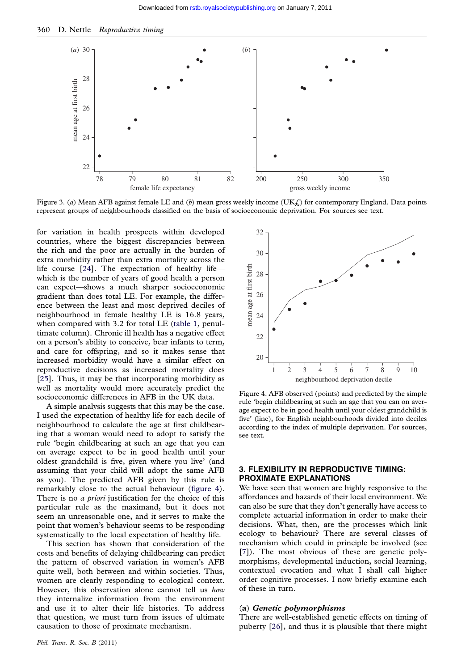<span id="page-4-0"></span>

Figure 3. (a) Mean AFB against female LE and (b) mean gross weekly income (UK£) for contemporary England. Data points represent groups of neighbourhoods classified on the basis of socioeconomic deprivation. For sources see text.

for variation in health prospects within developed countries, where the biggest discrepancies between the rich and the poor are actually in the burden of extra morbidity rather than extra mortality across the life course [[24\]](#page-7-0). The expectation of healthy life which is the number of years of good health a person can expect—shows a much sharper socioeconomic gradient than does total LE. For example, the difference between the least and most deprived deciles of neighbourhood in female healthy LE is 16.8 years, when compared with 3.2 for total LE [\(table 1,](#page-3-0) penultimate column). Chronic ill health has a negative effect on a person's ability to conceive, bear infants to term, and care for offspring, and so it makes sense that increased morbidity would have a similar effect on reproductive decisions as increased mortality does [\[25](#page-7-0)]. Thus, it may be that incorporating morbidity as well as mortality would more accurately predict the socioeconomic differences in AFB in the UK data.

A simple analysis suggests that this may be the case. I used the expectation of healthy life for each decile of neighbourhood to calculate the age at first childbearing that a woman would need to adopt to satisfy the rule 'begin childbearing at such an age that you can on average expect to be in good health until your oldest grandchild is five, given where you live' (and assuming that your child will adopt the same AFB as you). The predicted AFB given by this rule is remarkably close to the actual behaviour (figure 4). There is no *a priori* justification for the choice of this particular rule as the maximand, but it does not seem an unreasonable one, and it serves to make the point that women's behaviour seems to be responding systematically to the local expectation of healthy life.

This section has shown that consideration of the costs and benefits of delaying childbearing can predict the pattern of observed variation in women's AFB quite well, both between and within societies. Thus, women are clearly responding to ecological context. However, this observation alone cannot tell us how they internalize information from the environment and use it to alter their life histories. To address that question, we must turn from issues of ultimate causation to those of proximate mechanism.



Figure 4. AFB observed (points) and predicted by the simple rule 'begin childbearing at such an age that you can on average expect to be in good health until your oldest grandchild is five' (line), for English neighbourhoods divided into deciles according to the index of multiple deprivation. For sources, see text.

## 3. FLEXIBILITY IN REPRODUCTIVE TIMING: PROXIMATE EXPLANATIONS

We have seen that women are highly responsive to the affordances and hazards of their local environment. We can also be sure that they don't generally have access to complete actuarial information in order to make their decisions. What, then, are the processes which link ecology to behaviour? There are several classes of mechanism which could in principle be involved (see [\[7\]](#page-7-0)). The most obvious of these are genetic polymorphisms, developmental induction, social learning, contextual evocation and what I shall call higher order cognitive processes. I now briefly examine each of these in turn.

### (a) Genetic polymorphisms

There are well-established genetic effects on timing of puberty [\[26](#page-7-0)], and thus it is plausible that there might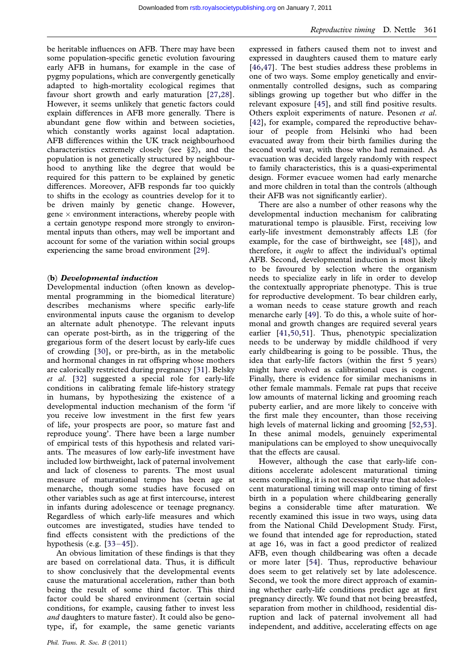be heritable influences on AFB. There may have been some population-specific genetic evolution favouring early AFB in humans, for example in the case of pygmy populations, which are convergently genetically adapted to high-mortality ecological regimes that favour short growth and early maturation [\[27](#page-7-0)[,28](#page-8-0)]. However, it seems unlikely that genetic factors could explain differences in AFB more generally. There is abundant gene flow within and between societies, which constantly works against local adaptation. AFB differences within the UK track neighbourhood characteristics extremely closely (see §2), and the population is not genetically structured by neighbourhood to anything like the degree that would be required for this pattern to be explained by genetic differences. Moreover, AFB responds far too quickly to shifts in the ecology as countries develop for it to be driven mainly by genetic change. However, gene  $\times$  environment interactions, whereby people with a certain genotype respond more strongly to environmental inputs than others, may well be important and account for some of the variation within social groups experiencing the same broad environment [\[29](#page-8-0)].

#### (b) Developmental induction

Developmental induction (often known as developmental programming in the biomedical literature) describes mechanisms where specific early-life environmental inputs cause the organism to develop an alternate adult phenotype. The relevant inputs can operate post-birth, as in the triggering of the gregarious form of the desert locust by early-life cues of crowding [[30\]](#page-8-0), or pre-birth, as in the metabolic and hormonal changes in rat offspring whose mothers are calorically restricted during pregnancy [[31\]](#page-8-0). Belsky et al. [[32\]](#page-8-0) suggested a special role for early-life conditions in calibrating female life-history strategy in humans, by hypothesizing the existence of a developmental induction mechanism of the form 'if you receive low investment in the first few years of life, your prospects are poor, so mature fast and reproduce young'. There have been a large number of empirical tests of this hypothesis and related variants. The measures of low early-life investment have included low birthweight, lack of paternal involvement and lack of closeness to parents. The most usual measure of maturational tempo has been age at menarche, though some studies have focused on other variables such as age at first intercourse, interest in infants during adolescence or teenage pregnancy. Regardless of which early-life measures and which outcomes are investigated, studies have tended to find effects consistent with the predictions of the hypothesis (e.g. [\[33](#page-8-0)–[45\]](#page-8-0)).

An obvious limitation of these findings is that they are based on correlational data. Thus, it is difficult to show conclusively that the developmental events cause the maturational acceleration, rather than both being the result of some third factor. This third factor could be shared environment (certain social conditions, for example, causing father to invest less and daughters to mature faster). It could also be genotype, if, for example, the same genetic variants

expressed in fathers caused them not to invest and expressed in daughters caused them to mature early [[46,47\]](#page-8-0). The best studies address these problems in one of two ways. Some employ genetically and environmentally controlled designs, such as comparing siblings growing up together but who differ in the relevant exposure [[45](#page-8-0)], and still find positive results. Others exploit experiments of nature. Pesonen et al. [[42\]](#page-8-0), for example, compared the reproductive behaviour of people from Helsinki who had been evacuated away from their birth families during the second world war, with those who had remained. As evacuation was decided largely randomly with respect to family characteristics, this is a quasi-experimental design. Former evacuee women had early menarche and more children in total than the controls (although their AFB was not significantly earlier).

There are also a number of other reasons why the developmental induction mechanism for calibrating maturational tempo is plausible. First, receiving low early-life investment demonstrably affects LE (for example, for the case of birthweight, see [[48\]](#page-8-0)), and therefore, it ought to affect the individual's optimal AFB. Second, developmental induction is most likely to be favoured by selection where the organism needs to specialize early in life in order to develop the contextually appropriate phenotype. This is true for reproductive development. To bear children early, a woman needs to cease stature growth and reach menarche early [\[49\]](#page-8-0). To do this, a whole suite of hormonal and growth changes are required several years earlier [[41,50,51\]](#page-8-0). Thus, phenotypic specialization needs to be underway by middle childhood if very early childbearing is going to be possible. Thus, the idea that early-life factors (within the first 5 years) might have evolved as calibrational cues is cogent. Finally, there is evidence for similar mechanisms in other female mammals. Female rat pups that receive low amounts of maternal licking and grooming reach puberty earlier, and are more likely to conceive with the first male they encounter, than those receiving high levels of maternal licking and grooming [\[52,53](#page-8-0)]. In these animal models, genuinely experimental manipulations can be employed to show unequivocally that the effects are causal.

However, although the case that early-life conditions accelerate adolescent maturational timing seems compelling, it is not necessarily true that adolescent maturational timing will map onto timing of first birth in a population where childbearing generally begins a considerable time after maturation. We recently examined this issue in two ways, using data from the National Child Development Study. First, we found that intended age for reproduction, stated at age 16, was in fact a good predictor of realized AFB, even though childbearing was often a decade or more later [[54\]](#page-8-0). Thus, reproductive behaviour does seem to get relatively set by late adolescence. Second, we took the more direct approach of examining whether early-life conditions predict age at first pregnancy directly. We found that not being breastfed, separation from mother in childhood, residential disruption and lack of paternal involvement all had independent, and additive, accelerating effects on age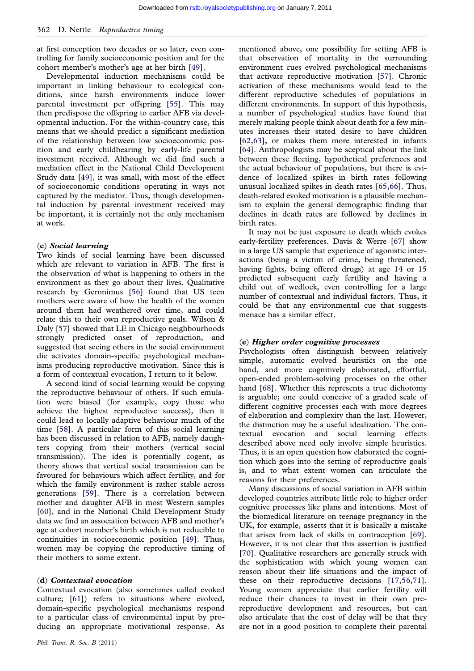at first conception two decades or so later, even controlling for family socioeconomic position and for the cohort member's mother's age at her birth [\[49](#page-8-0)].

Developmental induction mechanisms could be important in linking behaviour to ecological conditions, since harsh environments induce lower parental investment per offspring [[55\]](#page-8-0). This may then predispose the offspring to earlier AFB via developmental induction. For the within-country case, this means that we should predict a significant mediation of the relationship between low socioeconomic position and early childbearing by early-life parental investment received. Although we did find such a mediation effect in the National Child Development Study data [\[49](#page-8-0)], it was small, with most of the effect of socioeconomic conditions operating in ways not captured by the mediator. Thus, though developmental induction by parental investment received may be important, it is certainly not the only mechanism at work.

#### (c) Social learning

Two kinds of social learning have been discussed which are relevant to variation in AFB. The first is the observation of what is happening to others in the environment as they go about their lives. Qualitative research by Geronimus [\[56](#page-8-0)] found that US teen mothers were aware of how the health of the women around them had weathered over time, and could relate this to their own reproductive goals. Wilson & Daly [\[57\]](#page-8-0) showed that LE in Chicago neighbourhoods strongly predicted onset of reproduction, and suggested that seeing others in the social environment die activates domain-specific psychological mechanisms producing reproductive motivation. Since this is a form of contextual evocation, I return to it below.

A second kind of social learning would be copying the reproductive behaviour of others. If such emulation were biased (for example, copy those who achieve the highest reproductive success), then it could lead to locally adaptive behaviour much of the time [\[58\]](#page-8-0). A particular form of this social learning has been discussed in relation to AFB, namely daughters copying from their mothers (vertical social transmission). The idea is potentially cogent, as theory shows that vertical social transmission can be favoured for behaviours which affect fertility, and for which the family environment is rather stable across generations [\[59](#page-8-0)]. There is a correlation between mother and daughter AFB in most Western samples [\[60](#page-8-0)], and in the National Child Development Study data we find an association between AFB and mother's age at cohort member's birth which is not reducible to continuities in socioeconomic position [[49\]](#page-8-0). Thus, women may be copying the reproductive timing of their mothers to some extent.

#### (d) Contextual evocation

Contextual evocation (also sometimes called evoked culture; [[61\]](#page-8-0)) refers to situations where evolved, domain-specific psychological mechanisms respond to a particular class of environmental input by producing an appropriate motivational response. As

Phil. Trans. R. Soc. B (2011)

mentioned above, one possibility for setting AFB is that observation of mortality in the surrounding environment cues evolved psychological mechanisms that activate reproductive motivation [\[57](#page-8-0)]. Chronic activation of these mechanisms would lead to the different reproductive schedules of populations in different environments. In support of this hypothesis, a number of psychological studies have found that merely making people think about death for a few minutes increases their stated desire to have children [\[62](#page-8-0)[,63](#page-9-0)], or makes them more interested in infants [\[64](#page-9-0)]. Anthropologists may be sceptical about the link between these fleeting, hypothetical preferences and the actual behaviour of populations, but there is evidence of localized spikes in birth rates following unusual localized spikes in death rates [\[65,66](#page-9-0)]. Thus, death-related evoked motivation is a plausible mechanism to explain the general demographic finding that declines in death rates are followed by declines in birth rates.

It may not be just exposure to death which evokes early-fertility preferences. Davis & Werre [\[67](#page-9-0)] show in a large US sample that experience of agonistic interactions (being a victim of crime, being threatened, having fights, being offered drugs) at age 14 or 15 predicted subsequent early fertility and having a child out of wedlock, even controlling for a large number of contextual and individual factors. Thus, it could be that any environmental cue that suggests menace has a similar effect.

### (e) Higher order cognitive processes

Psychologists often distinguish between relatively simple, automatic evolved heuristics on the one hand, and more cognitively elaborated, effortful, open-ended problem-solving processes on the other hand [[68\]](#page-9-0). Whether this represents a true dichotomy is arguable; one could conceive of a graded scale of different cognitive processes each with more degrees of elaboration and complexity than the last. However, the distinction may be a useful idealization. The contextual evocation and social learning effects described above need only involve simple heuristics. Thus, it is an open question how elaborated the cognition which goes into the setting of reproductive goals is, and to what extent women can articulate the reasons for their preferences.

Many discussions of social variation in AFB within developed countries attribute little role to higher order cognitive processes like plans and intentions. Most of the biomedical literature on teenage pregnancy in the UK, for example, asserts that it is basically a mistake that arises from lack of skills in contraception [[69\]](#page-9-0). However, it is not clear that this assertion is justified [\[70](#page-9-0)]. Qualitative researchers are generally struck with the sophistication with which young women can reason about their life situations and the impact of these on their reproductive decisions [[17,](#page-7-0)[56,](#page-8-0)[71\]](#page-9-0). Young women appreciate that earlier fertility will reduce their chances to invest in their own prereproductive development and resources, but can also articulate that the cost of delay will be that they are not in a good position to complete their parental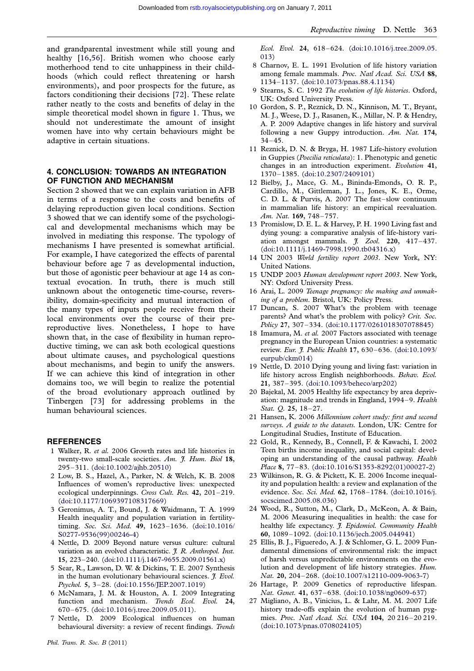<span id="page-7-0"></span>and grandparental investment while still young and healthy [16,[56\]](#page-8-0). British women who choose early motherhood tend to cite unhappiness in their childhoods (which could reflect threatening or harsh environments), and poor prospects for the future, as factors conditioning their decisions [\[72](#page-9-0)]. These relate rather neatly to the costs and benefits of delay in the simple theoretical model shown in [figure 1.](#page-2-0) Thus, we should not underestimate the amount of insight women have into why certain behaviours might be adaptive in certain situations.

## 4. CONCLUSION: TOWARDS AN INTEGRATION OF FUNCTION AND MECHANISM

Section 2 showed that we can explain variation in AFB in terms of a response to the costs and benefits of delaying reproduction given local conditions. Section 3 showed that we can identify some of the psychological and developmental mechanisms which may be involved in mediating this response. The typology of mechanisms I have presented is somewhat artificial. For example, I have categorized the effects of parental behaviour before age 7 as developmental induction, but those of agonistic peer behaviour at age 14 as contextual evocation. In truth, there is much still unknown about the ontogenetic time-course, reversibility, domain-specificity and mutual interaction of the many types of inputs people receive from their local environments over the course of their prereproductive lives. Nonetheless, I hope to have shown that, in the case of flexibility in human reproductive timing, we can ask both ecological questions about ultimate causes, and psychological questions about mechanisms, and begin to unify the answers. If we can achieve this kind of integration in other domains too, we will begin to realize the potential of the broad evolutionary approach outlined by Tinbergen [[73\]](#page-9-0) for addressing problems in the human behavioural sciences.

#### **REFERENCES**

- 1 Walker, R. et al. 2006 Growth rates and life histories in twenty-two small-scale societies. Am. J. Hum. Biol 18, 295–311. [\(doi:10.1002/ajhb.20510](http://dx.doi.org/10.1002/ajhb.20510))
- 2 Low, B. S., Hazel, A., Parker, N. & Welch, K. B. 2008 Influences of women's reproductive lives: unexpected ecological underpinnings. Cross Cult. Res. 42, 201–219. [\(doi:10.1177/1069397108317669\)](http://dx.doi.org/10.1177/1069397108317669)
- 3 Geronimus, A. T., Bound, J. & Waidmann, T. A. 1999 Health inequality and population variation in fertilitytiming. Soc. Sci. Med. 49, 1623–1636. ([doi:10.1016/](http://dx.doi.org/10.1016/S0277-9536(99)00246-4) [S0277-9536\(99\)00246-4](http://dx.doi.org/10.1016/S0277-9536(99)00246-4))
- 4 Nettle, D. 2009 Beyond nature versus culture: cultural variation as an evolved characteristic. J. R. Anthropol. Inst. 15, 223–240. [\(doi:10.1111/j.1467-9655.2009.01561.x\)](http://dx.doi.org/10.1111/j.1467-9655.2009.01561.x)
- 5 Sear, R., Lawson, D. W. & Dickins, T. E. 2007 Synthesis in the human evolutionary behavioural sciences. J. Evol. Psychol. 5, 3–28. [\(doi:10.1556/JEP.2007.1019](http://dx.doi.org/10.1556/JEP.2007.1019))
- 6 McNamara, J. M. & Houston, A. I. 2009 Integrating function and mechanism. Trends Ecol. Evol. 24, 670–675. [\(doi:10.1016/j.tree.2009.05.011](http://dx.doi.org/10.1016/j.tree.2009.05.011)).
- 7 Nettle, D. 2009 Ecological influences on human behavioural diversity: a review of recent findings. Trends

Ecol. Evol. 24, 618–624. ([doi:10.1016/j.tree.2009.05.](http://dx.doi.org/10.1016/j.tree.2009.05.013) [013\)](http://dx.doi.org/10.1016/j.tree.2009.05.013)

- 8 Charnov, E. L. 1991 Evolution of life history variation among female mammals. Proc. Natl Acad. Sci. USA 88, 1134–1137. [\(doi:10.1073/pnas.88.4.1134\)](http://dx.doi.org/10.1073/pnas.88.4.1134)
- 9 Stearns, S. C. 1992 The evolution of life histories. Oxford, UK: Oxford University Press.
- 10 Gordon, S. P., Reznick, D. N., Kinnison, M. T., Bryant, M. J., Weese, D. J., Rasanen, K., Millar, N. P. & Hendry, A. P. 2009 Adaptive changes in life history and survival following a new Guppy introduction. Am. Nat. 174,  $34 - 45$ .
- 11 Reznick, D. N. & Bryga, H. 1987 Life-history evolution in Guppies (Poecilia reticulata): 1. Phenotypic and genetic changes in an introduction experiment. Evolution 41, 1370–1385. ([doi:10.2307/2409101](http://dx.doi.org/10.2307/2409101))
- 12 Bielby, J., Mace, G. M., Bininda-Emonds, O. R. P., Cardillo, M., Gittleman, J. L., Jones, K. E., Orme, C. D. L. & Purvis, A. 2007 The fast–slow continuum in mammalian life history: an empirical reevaluation. Am. Nat. 169, 748–757.
- 13 Promislow, D. E. L. & Harvey, P. H. 1990 Living fast and dying young: a comparative analysis of life-history variation amongst mammals.  $\tilde{J}$ . Zool. 220, 417-437. ([doi:10.1111/j.1469-7998.1990.tb04316.x\)](http://dx.doi.org/10.1111/j.1469-7998.1990.tb04316.x)
- 14 UN 2003 World fertility report 2003. New York, NY: United Nations.
- 15 UNDP 2003 Human development report 2003. New York, NY: Oxford University Press.
- 16 Arai, L. 2009 Teenage pregnancy: the making and unmaking of a problem. Bristol, UK: Policy Press.
- 17 Duncan, S. 2007 What's the problem with teenage parents? And what's the problem with policy? Crit. Soc. Policy 27, 307–334. [\(doi:10.1177/0261018307078845\)](http://dx.doi.org/10.1177/0261018307078845)
- 18 Imamura, M. et al. 2007 Factors associated with teenage pregnancy in the European Union countries: a systematic review. Eur. J. Public Health 17, 630–636. ([doi:10.1093/](http://dx.doi.org/10.1093/eurpub/ckm014) [eurpub/ckm014\)](http://dx.doi.org/10.1093/eurpub/ckm014)
- 19 Nettle, D. 2010 Dying young and living fast: variation in life history across English neighborhoods. Behav. Ecol. 21, 387–395. ([doi:10.1093/beheco/arp202](http://dx.doi.org/10.1093/beheco/arp202))
- 20 Bajekal, M. 2005 Healthy life expectancy by area deprivation: magnitude and trends in England, 1994–9. Health Stat. Q. 25, 18–27.
- 21 Hansen, K. 2006 Millennium cohort study: first and second surveys. A guide to the datasets. London, UK: Centre for Longitudinal Studies, Institute of Education.
- 22 Gold, R., Kennedy, B., Connell, F. & Kawachi, I. 2002 Teen births income inequality, and social capital: developing an understanding of the causal pathway. Health Place 8, 77–83. [\(doi:10.1016/S1353-8292\(01\)00027-2](http://dx.doi.org/10.1016/S1353-8292(01)00027-2))
- 23 Wilkinson, R. G. & Pickett, K. E. 2006 Income inequality and population health: a review and explanation of the evidence. Soc. Sci. Med. 62, 1768–1784. [\(doi:10.1016/j.](http://dx.doi.org/10.1016/j.socscimed.2005.08.036) [socscimed.2005.08.036\)](http://dx.doi.org/10.1016/j.socscimed.2005.08.036)
- 24 Wood, R., Sutton, M., Clark, D., McKeon, A. & Bain, M. 2006 Measuring inequalities in health: the case for healthy life expectancy. J. Epidemiol. Community Health 60, 1089–1092. ([doi:10.1136/jech.2005.044941](http://dx.doi.org/10.1136/jech.2005.044941))
- 25 Ellis, B. J., Figueredo, A. J. & Schlomer, G. L. 2009 Fundamental dimensions of environmental risk: the impact of harsh versus unpredictable environments on the evolution and development of life history strategies. Hum. Nat. 20, 204–268. ([doi:10.1007/s12110-009-9063-7\)](http://dx.doi.org/10.1007/s12110-009-9063-7)
- 26 Hartage, P. 2009 Genetics of reproductive lifespan. Nat. Genet. 41, 637–638. [\(doi:10.1038/ng0609-637\)](http://dx.doi.org/10.1038/ng0609-637)
- 27 Migliano, A. B., Vinicius, L. & Lahr, M. M. 2007 Life history trade-offs explain the evolution of human pygmies. Proc. Natl Acad. Sci. USA 104, 20 216–20 219. ([doi:10.1073/pnas.0708024105](http://dx.doi.org/10.1073/pnas.0708024105))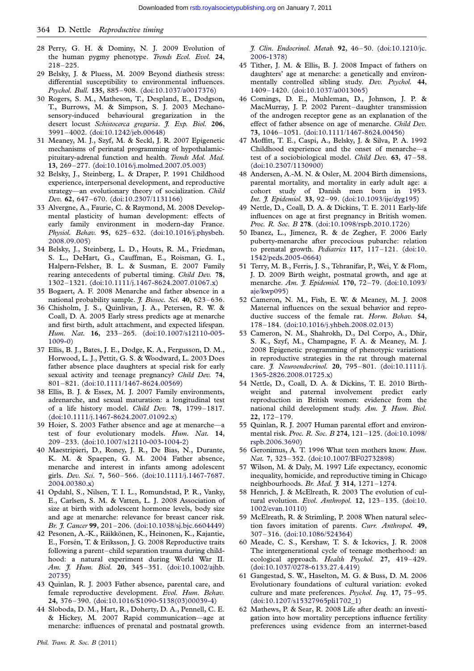- <span id="page-8-0"></span>28 Perry, G. H. & Dominy, N. J. 2009 Evolution of the human pygmy phenotype. Trends Ecol. Evol. 24, 218–225.
- 29 Belsky, J. & Pluess, M. 2009 Beyond diathesis stress: differential susceptibility to environmental influences. Psychol. Bull. 135, 885–908. ([doi:10.1037/a0017376\)](http://dx.doi.org/10.1037/a0017376)
- 30 Rogers, S. M., Matheson, T., Despland, E., Dodgson, T., Burrows, M. & Simpson, S. J. 2003 Mechanosensory-induced behavioural gregarization in the desert locust Schistocerca gregaria. J. Exp. Biol. 206, 3991–4002. ([doi:10.1242/jeb.00648\)](http://dx.doi.org/10.1242/jeb.00648)
- 31 Meaney, M. J., Szyf, M. & Seckl, J. R. 2007 Epigenetic mechanisms of perinatal programming of hypothalamicpituitary-adrenal function and health. Trends Mol. Med. 13, 269–277. ([doi:10.1016/j.molmed.2007.05.003\)](http://dx.doi.org/10.1016/j.molmed.2007.05.003)
- 32 Belsky, J., Steinberg, L. & Draper, P. 1991 Childhood experience, interpersonal development, and reproductive strategy—an evolutionary theory of socialization. Child Dev. 62, 647–670. [\(doi:10.2307/1131166](http://dx.doi.org/10.2307/1131166))
- 33 Alvergne, A., Faurie, C. & Raymond, M. 2008 Developmental plasticity of human development: effects of early family environment in modern-day France. Physiol. Behav. 95, 625–632. ([doi:10.1016/j.physbeh.](http://dx.doi.org/10.1016/j.physbeh.2008.09.005) [2008.09.005\)](http://dx.doi.org/10.1016/j.physbeh.2008.09.005)
- 34 Belsky, J., Steinberg, L. D., Houts, R. M., Friedman, S. L., DeHart, G., Cauffman, E., Roisman, G. I., Halpern-Felsher, B. L. & Susman, E. 2007 Family rearing antecedents of pubertal timing. Child Dev. 78, 1302–1321. ([doi:10.1111/j.1467-8624.2007.01067.x\)](http://dx.doi.org/10.1111/j.1467-8624.2007.01067.x)
- 35 Bogaert, A. F. 2008 Menarche and father absence in a national probability sample. *J. Biosoc. Sci.* 40, 623-636.
- 36 Chisholm, J. S., Quinlivan, J. A., Petersen, R. W. & Coall, D. A. 2005 Early stress predicts age at menarche and first birth, adult attachment, and expected lifespan. Hum. Nat. 16, 233-265. [\(doi:10.1007/s12110-005-](http://dx.doi.org/10.1007/s12110-005-1009-0) [1009-0\)](http://dx.doi.org/10.1007/s12110-005-1009-0)
- 37 Ellis, B. J., Bates, J. E., Dodge, K. A., Fergusson, D. M., Horwood, L. J., Pettit, G. S. & Woodward, L. 2003 Does father absence place daughters at special risk for early sexual activity and teenage pregnancy? Child Dev. 74, 801–821. ([doi:10.1111/1467-8624.00569](http://dx.doi.org/10.1111/1467-8624.00569))
- 38 Ellis, B. J. & Essex, M. J. 2007 Family environments, adrenarche, and sexual maturation: a longitudinal test of a life history model. Child Dev. 78, 1799–1817. [\(doi:10.1111/j.1467-8624.2007.01092.x](http://dx.doi.org/10.1111/j.1467-8624.2007.01092.x))
- 39 Hoier, S. 2003 Father absence and age at menarche—a test of four evolutionary models. Hum. Nat. 14, 209–233. ([doi:10.1007/s12110-003-1004-2\)](http://dx.doi.org/10.1007/s12110-003-1004-2)
- 40 Maestripieri, D., Roney, J. R., De Bias, N., Durante, K. M. & Spaepen, G. M. 2004 Father absence, menarche and interest in infants among adolescent girls. Dev. Sci. 7, 560–566. ([doi:10.1111/j.1467-7687.](http://dx.doi.org/10.1111/j.1467-7687.2004.00380.x) [2004.00380.x](http://dx.doi.org/10.1111/j.1467-7687.2004.00380.x))
- 41 Opdahl, S., Nilsen, T. I. L., Romundstad, P. R., Vanky, E., Carlsen, S. M. & Vatten, L. J. 2008 Association of size at birth with adolescent hormone levels, body size and age at menarche: relevance for breast cancer risk. Br. J. Cancer 99, 201-206. [\(doi:10.1038/sj.bjc.6604449\)](http://dx.doi.org/10.1038/sj.bjc.6604449)
- 42 Pesonen, A.-K., Räikkönen, K., Heinonen, K., Kajantie, E., Forsén, T. & Eriksson, J. G. 2008 Reproductive traits following a parent–child separation trauma during childhood: a natural experiment during World War II. Am. *J. Hum. Biol.* 20, 345-351. [\(doi:10.1002/ajhb.](http://dx.doi.org/10.1002/ajhb.20735) [20735\)](http://dx.doi.org/10.1002/ajhb.20735)
- 43 Quinlan, R. J. 2003 Father absence, parental care, and female reproductive development. Evol. Hum. Behav. 24, 376–390. ([doi:10.1016/S1090-5138\(03\)00039-4](http://dx.doi.org/10.1016/S1090-5138(03)00039-4))
- 44 Sloboda, D. M., Hart, R., Doherty, D. A., Pennell, C. E. & Hickey, M. 2007 Rapid communication—age at menarche: influences of prenatal and postnatal growth.

J. Clin. Endocrinol. Metab. 92, 46–50. [\(doi:10.1210/jc.](http://dx.doi.org/10.1210/jc.2006-1378) [2006-1378\)](http://dx.doi.org/10.1210/jc.2006-1378)

- 45 Tither, J. M. & Ellis, B. J. 2008 Impact of fathers on daughters' age at menarche: a genetically and environmentally controlled sibling study. Dev. Psychol. 44, 1409–1420. ([doi:10.1037/a0013065\)](http://dx.doi.org/10.1037/a0013065)
- 46 Comings, D. E., Muhleman, D., Johnson, J. P. & MacMurray, J. P. 2002 Parent–daughter transmission of the androgen receptor gene as an explanation of the effect of father absence on age of menarche. Child Dev. 73, 1046–1051. ([doi:10.1111/1467-8624.00456](http://dx.doi.org/10.1111/1467-8624.00456))
- 47 Moffitt, T. E., Caspi, A., Belsky, J. & Silva, P. A. 1992 Childhood experience and the onset of menarche—a test of a sociobiological model. Child Dev. 63, 47-58. [\(doi:10.2307/1130900\)](http://dx.doi.org/10.2307/1130900)
- 48 Andersen, A.-M. N. & Osler, M. 2004 Birth dimensions, parental mortality, and mortality in early adult age: a cohort study of Danish men born in 1953. Int. 7. Epidemiol. 33, 92-99. [\(doi:10.1093/ije/dyg195\)](http://dx.doi.org/10.1093/ije/dyg195)
- 49 Nettle, D., Coall, D. A. & Dickins, T. E. 2011 Early-life influences on age at first pregnancy in British women. Proc. R. Soc. B 278. ([doi:10.1098/rspb.2010.1726\)](http://dx.doi.org/10.1098/rspb.2010.1726)
- 50 Ibanez, L., Jimenez, R. & de Zegher, F. 2006 Early puberty-menarche after precocious pubarche: relation to prenatal growth. Pediatrics 117, 117-121. ([doi:10.](http://dx.doi.org/10.1542/peds.2005-0664) [1542/peds.2005-0664\)](http://dx.doi.org/10.1542/peds.2005-0664)
- 51 Terry, M. B., Ferris, J. S., Tehranifar, P., Wei, Y. & Flom, J. D. 2009 Birth weight, postnatal growth, and age at menarche. Am. J. Epidemiol. 170, 72–79. [\(doi:10.1093/](http://dx.doi.org/10.1093/aje/kwp095) [aje/kwp095](http://dx.doi.org/10.1093/aje/kwp095))
- 52 Cameron, N. M., Fish, E. W. & Meaney, M. J. 2008 Maternal influences on the sexual behavior and reproductive success of the female rat. Horm. Behav. 54, 178–184. ([doi:10.1016/j.yhbeh.2008.02.013](http://dx.doi.org/10.1016/j.yhbeh.2008.02.013))
- 53 Cameron, N. M., Shahrokh, D., Del Corpo, A., Dhir, S. K., Szyf, M., Champagne, F. A. & Meaney, M. J. 2008 Epigenetic programming of phenotypic variations in reproductive strategies in the rat through maternal care. *J. Neuroendocrinol.* 20, 795-801. [\(doi:10.1111/j.](http://dx.doi.org/10.1111/j.1365-2826.2008.01725.x) [1365-2826.2008.01725.x\)](http://dx.doi.org/10.1111/j.1365-2826.2008.01725.x)
- 54 Nettle, D., Coall, D. A. & Dickins, T. E. 2010 Birthweight and paternal involvement predict early reproduction in British women: evidence from the national child development study. Am. J. Hum. Biol. 22, 172–179.
- 55 Quinlan, R. J. 2007 Human parental effort and environmental risk. Proc. R. Soc. B 274, 121–125. [\(doi:10.1098/](http://dx.doi.org/10.1098/rspb.2006.3690) [rspb.2006.3690](http://dx.doi.org/10.1098/rspb.2006.3690))
- 56 Geronimus, A. T. 1996 What teen mothers know. Hum. Nat. 7, 323–352. ([doi:10.1007/BF02732898](http://dx.doi.org/10.1007/BF02732898))
- 57 Wilson, M. & Daly, M. 1997 Life expectancy, economic inequality, homicide, and reproductive timing in Chicago neighbourhoods. Br. Med. *J.* 314, 1271-1274.
- 58 Henrich, J. & McElreath, R. 2003 The evolution of cultural evolution. Evol. Anthropol. 12, 123-135. ([doi:10.](http://dx.doi.org/10.1002/evan.10110) [1002/evan.10110](http://dx.doi.org/10.1002/evan.10110))
- 59 McElreath, R. & Strimling, P. 2008 When natural selection favors imitation of parents. Curr. Anthropol. 49, 307–316. ([doi:10.1086/524364\)](http://dx.doi.org/10.1086/524364)
- 60 Meade, C. S., Kershaw, T. S. & Ickovics, J. R. 2008 The intergenerational cycle of teenage motherhood: an ecological approach. Health Psychol. 27, 419-429. [\(doi:10.1037/0278-6133.27.4.419\)](http://dx.doi.org/10.1037/0278-6133.27.4.419)
- 61 Gangestad, S. W., Haselton, M. G. & Buss, D. M. 2006 Evolutionary foundations of cultural variation: evoked culture and mate preferences. Psychol. Inq. 17, 75–95. [\(doi:10.1207/s15327965pli1702\\_1\)](http://dx.doi.org/10.1207/s15327965pli1702_1)
- 62 Mathews, P. & Sear, R. 2008 Life after death: an investigation into how mortality perceptions influence fertility preferences using evidence from an interrnet-based